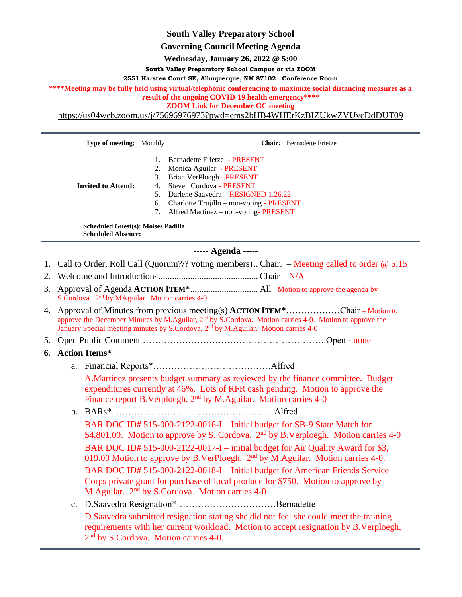# **South Valley Preparatory School**

## **Governing Council Meeting Agenda**

**Wednesday, January 26, 2022 @ 5:00**

**South Valley Preparatory School Campus or via ZOOM**

**2551 Karsten Court SE, Albuquerque, NM 87102 Conference Room**

#### **\*\*\*\*Meeting may be fully held using virtual/telephonic conferencing to maximize social distancing measures as a result of the ongoing COVID-19 health emergency\*\*\*\***

**ZOOM Link for December GC meeting**

[https://us04web.zoom.us/j/75696976973?pwd=ems2bHB4WHErKzBIZUkwZVUvcDdDUT09](https://www.google.com/url?q=https://us04web.zoom.us/j/75696976973?pwd%3Dems2bHB4WHErKzBIZUkwZVUvcDdDUT09&sa=D&source=calendar&ust=1639843468097979&usg=AOvVaw3p96JHHZ47oBveaAF4TJ_d)

| <b>Type of meeting:</b> Monthly           |    | <b>Chair:</b> Bernadette Frietze          |
|-------------------------------------------|----|-------------------------------------------|
|                                           |    | Bernadette Frietze - PRESENT              |
|                                           |    | 2. Monica Aguilar - PRESENT               |
|                                           |    | 3. Brian VerPloegh - PRESENT              |
| <b>Invited to Attend:</b>                 |    | 4. Steven Cordova - PRESENT               |
|                                           | 5. | Darlene Saavedra – RESIGNED 1.26.22       |
|                                           | 6. | Charlotte Trujillo – non-voting - PRESENT |
|                                           | 7. | Alfred Martinez – non-voting-PRESENT      |
| <b>Scheduled Guest(s): Moises Padilla</b> |    |                                           |

**Scheduled Absence:**

### **----- Agenda -----**

- 1. Call to Order, Roll Call (Quorum?/? voting members).. Chair. Meeting called to order @ 5:15
- 2. Welcome and Introductions............................................ Chair N/A
- 3. Approval of Agenda **ACTION ITEM\***.............................. All Motion to approve the agenda by S.Cordova. 2<sup>nd</sup> by MAguilar. Motion carries 4-0
- 4. Approval of Minutes from previous meeting(s) **ACTION ITEM\***………………Chair Motion to approve the December Minutes by M.Aguilar,  $2<sup>nd</sup>$  by S.Cordova. Motion carries 4-0. Motion to approve the January Special meeting minutes by S.Cordova, 2<sup>nd</sup> by M.Aguilar. Motion carries 4-0
- 5. Open Public Comment …………………………………………………….Open none

## **6. Action Items\***

a. Financial Reports\*…………………………………Alfred

A.Martinez presents budget summary as reviewed by the finance committee. Budget expenditures currently at 46%. Lots of RFR cash pending. Motion to approve the Finance report B. Verploegh, 2<sup>nd</sup> by M. Aguilar. Motion carries 4-0

b. BARs\* ………………………..……………………Alfred

BAR DOC ID# 515-000-2122-0016-I – Initial budget for SB-9 State Match for \$4,801.00. Motion to approve by S. Cordova. 2<sup>nd</sup> by B. Verploegh. Motion carries 4-0 BAR DOC ID# 515-000-2122-0017-I – initial budget for Air Quality Award for \$3, 019.00 Motion to approve by B.VerPloegh. 2<sup>nd</sup> by M.Aguilar. Motion carries 4-0. BAR DOC ID# 515-000-2122-0018-I – Initial budget for American Friends Service Corps private grant for purchase of local produce for \$750. Motion to approve by M.Aguilar. 2<sup>nd</sup> by S.Cordova. Motion carries 4-0

c. D.Saavedra Resignation\*……………………………Bernadette

D.Saavedra submitted resignation stating she did not feel she could meet the training requirements with her current workload. Motion to accept resignation by B.Verploegh, 2<sup>nd</sup> by S.Cordova. Motion carries 4-0.